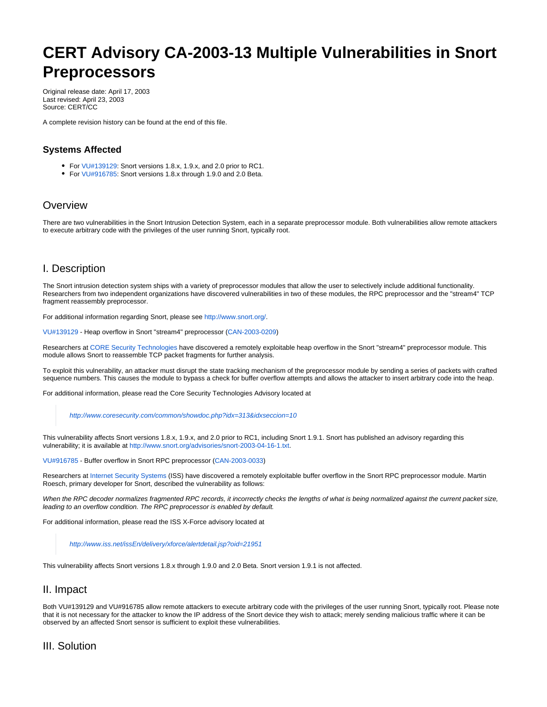# **CERT Advisory CA-2003-13 Multiple Vulnerabilities in Snort Preprocessors**

Original release date: April 17, 2003 Last revised: April 23, 2003 Source: CERT/CC

A complete revision history can be found at the end of this file.

# **Systems Affected**

- For [VU#139129:](http://www.kb.cert.org/vuls/id/139129) Snort versions 1.8.x, 1.9.x, and 2.0 prior to RC1.
- For [VU#916785:](http://www.kb.cert.org/vuls/id/916785) Snort versions 1.8.x through 1.9.0 and 2.0 Beta.

# **Overview**

There are two vulnerabilities in the Snort Intrusion Detection System, each in a separate preprocessor module. Both vulnerabilities allow remote attackers to execute arbitrary code with the privileges of the user running Snort, typically root.

# I. Description

The Snort intrusion detection system ships with a variety of preprocessor modules that allow the user to selectively include additional functionality. Researchers from two independent organizations have discovered vulnerabilities in two of these modules, the RPC preprocessor and the "stream4" TCP fragment reassembly preprocessor.

For additional information regarding Snort, please see [http://www.snort.org/.](http://www.snort.org/)

[VU#139129](http://www.kb.cert.org/vuls/id/139129) - Heap overflow in Snort "stream4" preprocessor [\(CAN-2003-0209](http://www.cve.mitre.org/cgi-bin/cvename.cgi?name=CAN-2003-0209))

Researchers at [CORE Security Technologies](http://www.coresecurity.com) have discovered a remotely exploitable heap overflow in the Snort "stream4" preprocessor module. This module allows Snort to reassemble TCP packet fragments for further analysis.

To exploit this vulnerability, an attacker must disrupt the state tracking mechanism of the preprocessor module by sending a series of packets with crafted sequence numbers. This causes the module to bypass a check for buffer overflow attempts and allows the attacker to insert arbitrary code into the heap.

For additional information, please read the Core Security Technologies Advisory located at

<http://www.coresecurity.com/common/showdoc.php?idx=313&idxseccion=10>

This vulnerability affects Snort versions 1.8.x, 1.9.x, and 2.0 prior to RC1, including Snort 1.9.1. Snort has published an advisory regarding this vulnerability; it is available at [http://www.snort.org/advisories/snort-2003-04-16-1.txt.](http://www.snort.org/advisories/snort-2003-04-16-1.txt)

[VU#916785](http://www.kb.cert.org/vuls/id/916785) - Buffer overflow in Snort RPC preprocessor ([CAN-2003-0033\)](http://www.cve.mitre.org/cgi-bin/cvename.cgi?name=CAN-2003-0033)

Researchers at [Internet Security Systems](http://www.iss.net/) (ISS) have discovered a remotely exploitable buffer overflow in the Snort RPC preprocessor module. Martin Roesch, primary developer for Snort, described the vulnerability as follows:

When the RPC decoder normalizes fragmented RPC records, it incorrectly checks the lengths of what is being normalized against the current packet size, leading to an overflow condition. The RPC preprocessor is enabled by default.

For additional information, please read the ISS X-Force advisory located at

<http://www.iss.net/issEn/delivery/xforce/alertdetail.jsp?oid=21951>

This vulnerability affects Snort versions 1.8.x through 1.9.0 and 2.0 Beta. Snort version 1.9.1 is not affected.

# II. Impact

Both VU#139129 and VU#916785 allow remote attackers to execute arbitrary code with the privileges of the user running Snort, typically root. Please note that it is not necessary for the attacker to know the IP address of the Snort device they wish to attack; merely sending malicious traffic where it can be observed by an affected Snort sensor is sufficient to exploit these vulnerabilities.

# III. Solution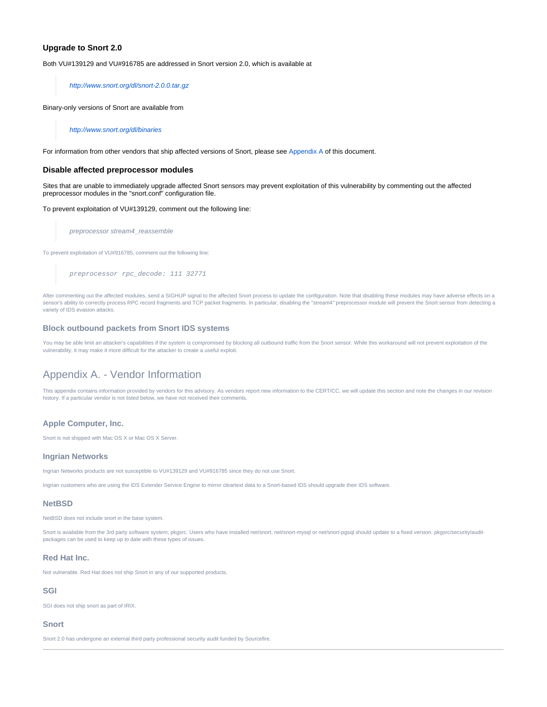## **Upgrade to Snort 2.0**

Both VU#139129 and VU#916785 are addressed in Snort version 2.0, which is available at

<http://www.snort.org/dl/snort-2.0.0.tar.gz>

Binary-only versions of Snort are available from

<http://www.snort.org/dl/binaries>

For information from other vendors that ship affected versions of Snort, please see [Appendix A](#page-1-0) of this document.

## **Disable affected preprocessor modules**

Sites that are unable to immediately upgrade affected Snort sensors may prevent exploitation of this vulnerability by commenting out the affected preprocessor modules in the "snort.conf" configuration file.

To prevent exploitation of VU#139129, comment out the following line:

preprocessor stream4\_reassemble

To prevent exploitation of VU#916785, comment out the following line:

preprocessor rpc\_decode: 111 32771

After commenting out the affected modules, send a SIGHUP signal to the affected Snort process to update the configuration. Note that disabling these modules may have adverse effects on a sensor's ability to correctly process RPC record fragments and TCP packet fragments. In particular, disabling the "stream4" preprocessor module will prevent the Snort sensor from detecting a variety of IDS evasion attacks.

## **Block outbound packets from Snort IDS systems**

<span id="page-1-0"></span>You may be able limit an attacker's capabilities if the system is compromised by blocking all outbound traffic from the Snort sensor. While this workaround will not prevent exploitation of the vulnerability, it may make it more difficult for the attacker to create a useful exploit.

## Appendix A. - Vendor Information

This appendix contains information provided by vendors for this advisory. As vendors report new information to the CERT/CC, we will update this section and note the changes in our revision history. If a particular vendor is not listed below, we have not received their comments.

## **Apple Computer, Inc.**

Snort is not shipped with Mac OS X or Mac OS X Server.

#### **Ingrian Networks**

Ingrian Networks products are not susceptible to VU#139129 and VU#916785 since they do not use Snort.

Ingrian customers who are using the IDS Extender Service Engine to mirror cleartext data to a Snort-based IDS should upgrade their IDS software.

### **NetBSD**

NetBSD does not include snort in the base system.

Snort is available from the 3rd party software system, pkgsrc. Users who have installed net/snort, net/snort-mysql or net/snort-pgsql should update to a fixed version. pkgsrc/security/auditpackages can be used to keep up to date with these types of issues.

#### **Red Hat Inc.**

Not vulnerable. Red Hat does not ship Snort in any of our supported products.

#### **SGI**

SGI does not ship snort as part of IRIX.

#### **Snort**

Snort 2.0 has undergone an external third party professional security audit funded by Sourcefire.